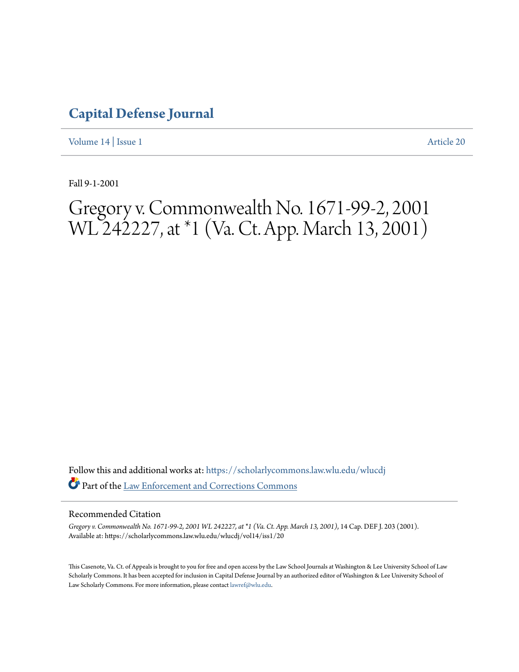## **[Capital Defense Journal](https://scholarlycommons.law.wlu.edu/wlucdj?utm_source=scholarlycommons.law.wlu.edu%2Fwlucdj%2Fvol14%2Fiss1%2F20&utm_medium=PDF&utm_campaign=PDFCoverPages)**

[Volume 14](https://scholarlycommons.law.wlu.edu/wlucdj/vol14?utm_source=scholarlycommons.law.wlu.edu%2Fwlucdj%2Fvol14%2Fiss1%2F20&utm_medium=PDF&utm_campaign=PDFCoverPages) | [Issue 1](https://scholarlycommons.law.wlu.edu/wlucdj/vol14/iss1?utm_source=scholarlycommons.law.wlu.edu%2Fwlucdj%2Fvol14%2Fiss1%2F20&utm_medium=PDF&utm_campaign=PDFCoverPages) [Article 20](https://scholarlycommons.law.wlu.edu/wlucdj/vol14/iss1/20?utm_source=scholarlycommons.law.wlu.edu%2Fwlucdj%2Fvol14%2Fiss1%2F20&utm_medium=PDF&utm_campaign=PDFCoverPages)

Fall 9-1-2001

# Gregory v. Commonwealth No. 1671-99-2, 2001 WL 242227, at \*1 (Va. Ct. App. March 13, 2001)

Follow this and additional works at: [https://scholarlycommons.law.wlu.edu/wlucdj](https://scholarlycommons.law.wlu.edu/wlucdj?utm_source=scholarlycommons.law.wlu.edu%2Fwlucdj%2Fvol14%2Fiss1%2F20&utm_medium=PDF&utm_campaign=PDFCoverPages) Part of the [Law Enforcement and Corrections Commons](http://network.bepress.com/hgg/discipline/854?utm_source=scholarlycommons.law.wlu.edu%2Fwlucdj%2Fvol14%2Fiss1%2F20&utm_medium=PDF&utm_campaign=PDFCoverPages)

#### Recommended Citation

*Gregory v. Commonwealth No. 1671-99-2, 2001 WL 242227, at \*1 (Va. Ct. App. March 13, 2001)*, 14 Cap. DEF J. 203 (2001). Available at: https://scholarlycommons.law.wlu.edu/wlucdj/vol14/iss1/20

This Casenote, Va. Ct. of Appeals is brought to you for free and open access by the Law School Journals at Washington & Lee University School of Law Scholarly Commons. It has been accepted for inclusion in Capital Defense Journal by an authorized editor of Washington & Lee University School of Law Scholarly Commons. For more information, please contact [lawref@wlu.edu.](mailto:lawref@wlu.edu)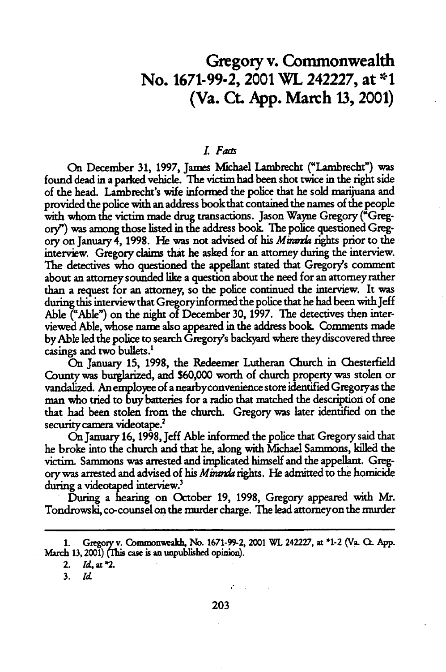## **Gregory** v. Commonwealth No. **1671-99-2,** 2001 WL 242227, at **\*1** (Va. **Ct. App.** March **13,** 2001)

#### *L Fams*

On December **31, 1997,** James Michael Lambrecht ("Lambrecht") was found dead in a parked vehicle. The victim had been shot twice in the right side of the head. Lambrecht's wife informed the police that he sold marijuana and provided the olice with an address book that contained the names of the people with whom the victim made drug transactions. Jason Wayne Gregory ("Gregory?') was among those listed in the address book The police questioned Gregory on January 4, 1998. He was not advised of his *Mirarda* rights prior to the interview. Gregory claims that he asked for an attorney during the interview. The detectives who questioned the appellant stated that Gregory's comment about an attorney sounded like a question about the need for an attorney rather than a request for an attorney, so the police continued the interview. It was during this interview that Gregoryinformed the police that he had been with Jeff Able ("Able") on the night of December 30, 1997. The detectives then interviewed Able, whose name also appeared in the address book Comments made byAble led the police to search Gregory's backyard where theydiscovered three casings and two bullets.<sup>1</sup>

On January 15, 1998, the Redeemer Lutheran Church in Chesterfield County was burglarized, and \$60,000 worth of church property was stolen or vandalized. An employee of a nearbyconvenience store identified Gregoryas the man who tried to buy batteries for a radio that matched the description of one that had been stolen from the church. Gregory was later identified on the security camera videotape.<sup>2</sup>

On January **16, 1998,** Jeff Able informed the police that Gregory said that he broke into the church and that he, along with Michael Sammons, killed the victim. Sammons was arrested and implicated himself and the appellant. Gregory was arrested and advised of his *Miraria* rights. He admitted to the homicide during a videotaped interview.' During a hearing on October **19, 1998,** Gregory appeared with **Mr.**

Tondrowski, co-counsel on the murder charge. The lead attomeyon the murder

**<sup>1.</sup> Gregoryv.Common'weah,** No. **1671-99-2,** 2001 WL 242227, at \*1-2 (Va. **C.** App. March 13, 2001) (This case is an unpublished opinion).

<sup>2.</sup> *Id, at* \*2.

*<sup>3.</sup> rd*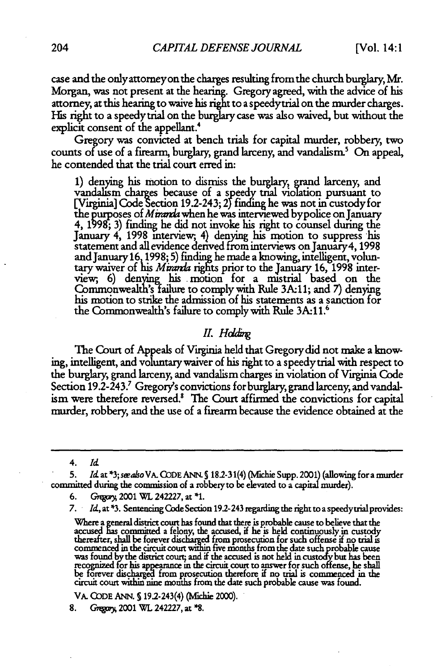case and the only attorney on the charges resulting from the church burglary Mr. Morgan, was not present at the hearing. Gregory agreed, with the advice of his attorney, at this hearing to waive his right to a speedytrial on the murder charges. His right to a speedy trial on the burglary case was also waived, but without the explicit consent of the appellant.<sup>4</sup>

Gregory was convicted at bench trials for capital murder, robbery, two counts of use of a firearm, burglary, grand larceny, and vandalism.<sup>5</sup> On appeal, he contended that the trial court erred in:

1) denying his motion to dismiss the burglary, grand larceny, and vandalism charges because of a speedy trial violation pursuant to [Virginia] Code Section 19.2-243; 2Y finding he was not in custody **for** the purposes of *Minaia* when he was interviewed bypolice on January **4,** 1998; 3) finding he did not invoke his right to counsel during the January 4, 1998 interview, 4) denying his motion to suppress his statement and all evidence denved fron interviews on January4,1998 andJanuary16 **1998;** 5) finding he made a knowing, inielligent, voluntary waiver of his *Mirmda* rights prior to the January 16, 1998 interview, 6) denying his motion for a mistrial based on the Commonwealth's-failure to comply with Rule **3A-11;** and *7)* denying his motion to strike the admission of his statements as a sanction for the Commonwealth's failure to comply with Rule 3A:11.<sup>6</sup>

#### *II. Holding*

The Court of Appeals of Virginia held that Gregory did not make a knowing, intelligent, and voluntary waiver of his right to a speedy trial with respect to the burglary, grand larceny, and vandalism charges in violation of Virginia Code Section 19.2-243.<sup>7</sup> Gregory's convictions for burglary, grand larceny, and vandalism were therefore reversed.<sup>8</sup> The Court affirmed the convictions for capital murder, robbery, and the use of a firearm because the evidence obtained at the

4. *Id*

6. Gregory, 2001 WL 242227, at \*1.

VA. CODE ANN. § 19.2-243(4) (Michie 2000).

<sup>5.</sup> Id. at \*3; see also VA. CODE ANN. § 18.2-31(4) (Michie Supp. 2001) (allowing for a murder committed during the commission of a robbery to be elevated to a capital murder).

<sup>7.</sup> *Id,* at **\*3.** Sentencing Code Section 19.2-243 regarding the right to a speedytrial provides:

Where a general district court has found that there is probable cause to believe that the accused has committed a felony, the accused, if he is held continuously in custody thereafter, shall be forever discharged from prosecution for such offense if no trial is commenced in the circuit court within five months from the date such probable cause<br>was found by the district court; and if the accused is not held in custody but has been recognized for his appearance in the circuit court to answer for such offense, he shall be forever dsc from prosecuton therefore if no trial is commenced in the circuit court withim **nine** months from the date such probable cause was found.

**<sup>8.</sup> G** 2001 **WI.** 242227, at **\*8.**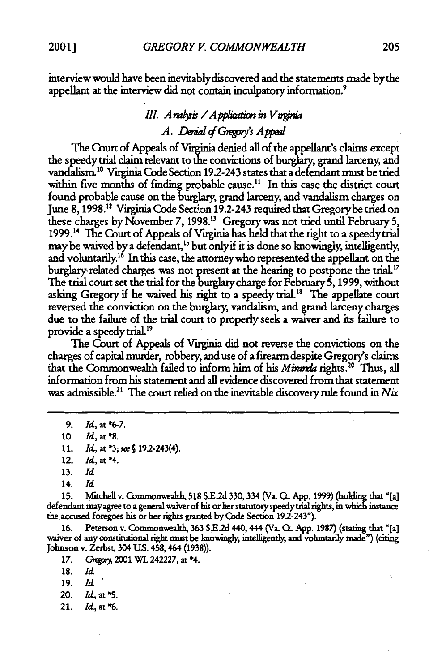interview would have been inevitablydiscovered and the statements made bythe appellant at the interview did not contain inculpatory information.'

### *III. Analysis / Application in Virginia A. Denial of Gregory's Appeal*

The Court of Appeals of Virginia denied all of the appellant's claims except the speedy trial claim relevant to the convictions of burglary, grand larceny, and vandalism.<sup>10</sup> Virginia Code Section 19.2-243 states that a defendant must be tried within five months of finding probable cause.<sup>11</sup> In this case the district court found probable cause on the burglary, grand larceny, and vandalism charges on June **8,1998.12** Virginia Code Section 19.2-243 required that Gregorybe tried on these charges **by** November **7,** 1998." Gregory was not tried until February **5,** 1999.14 The Court of Appeals of Virginia has held that the right to a speedytrial may be waived by a defendant,<sup>15</sup> but only if it is done so knowingly, intelligently, and voluntarily.16 In this case, the attomeywho represented the appellant on the burglary-related charges was not present at the hearing to postpone the trial.<sup>17</sup> The trial court set the trial for the burglary charge for February **5,** 1999, without asking Gregory if he waived his right to a speedy trial.<sup>18</sup> The appellate court reversed the conviction on the burglary, vandalism, and grand larceny charges due to the failure of the trial court to properly seek a waiver and its failure to provide a speedy trial.19

The Court of Appeals of Virginia did not reverse the convictions on the charges of capital murder, robbery, and use of a firearm despite Gregory's claims that the Commonwealth failed to inform him of his *Miranda* rights.<sup>20</sup> Thus, all information from his statement and all evidence discovered from that statement was admissible.2' **The** court relied on the inevitable discovery **rule** found in *Nix*

- 11. *Id.*, at \*3; *see* § 19.2-243(4).
- 12. *Id,* at \*4.

14. *Id*

**15.** Mltchell v. Comnmonweakh, **518 SE.2d 330,334** (Va. QL App. 1999) **(holding** that "[a] defendant **may** agree to a general waiver of his or her statutory speedytrial rights, **in** which instance **the** accused foregoes his or her rights granted **by** Code Section 19.2-243").

16. Peterson v. Commonwealth, 363 S.E.2d 440, 444 (Va. Ct. App. 1987) (stating that "[a] waiver of any constitutional right must be knowingly, intelligently, and voluntarily made") (citing Johnson v. Zerbst, 304 U.S. 458,

**17. Gkgp)** 2001 WL **242227,** at \*4.

- 19. *Id*
- 20. **Id,** at **\*5.**
- 21. Id, **at\*6.**

**<sup>9.</sup>** *Id,* at **\*6-7.**

<sup>10.</sup> *Id,* at **\*8.**

**<sup>13.</sup>** *Id*

**<sup>18.</sup> Id**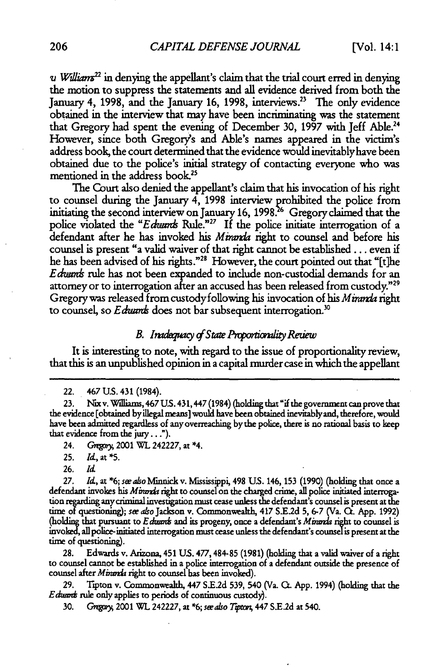*v William*<sup>22</sup> in denying the appellant's claim that the trial court erred in denying the motion to suppress the statements and all evidence derived from both the January 4, **1998,** and the January **16, 1998,** interviews.23 The only evidence obtained in the interview that may have been incriminating was the statement that Gregory had spent the evening of December **30, 1997** with Jeff Able.24 However, since both Gregory's and Able's names appeared in the victim's address book, the court determined that the evidence would inevitablyhave been obtained due to the police's initial strategy of contacting everyone who was mentioned in the address book.<sup>25</sup>

The Court also denied the appellant's claim that his invocation of his right to counsel during the January 4, **1998** interview prohibited the police from initiating the second interview on January **16, 1998.26** Gregory claimed that the police violated the *"Edwans* Rule."27 If the police initiate interrogation of a defendant after he has invoked his *Miranda* right to counsel and before his counsel is present "a valid waiver of that right cannot be established. **. .** even if he has been advised of his rights."<sup>28</sup> However, the court pointed out that "[t]he *Edanms* rule has not been expanded to include non-custodial demands for an attorney or to interrogation **after** an accused has been released from custody."29 Gregorywas released from custodyfollowing his invocation of his *Mirarda* right to counsel, so *E duants* does not bar subsequent interrogation.<sup>30</sup>

#### **B.** Inadequacy of State Proportionality Reuew

It is interesting to note, with regard to the issue of proportionality review, that this is an unpublished opinion in a capital murder case in which the appellant

#### 22. 467 **US.** 431 (1984).

24. *GqgaM* 2001 **WL** 242227, at **\*4.**

**25.** *M,,* **at \*5.**

**26.** *Id*

*27. Id,* at **\*6;** *see also* Minaick v. Mississippi, 498 **U.S.** 146, **153 (1990)** (holding that once a defendant invokes his *Minanda* right to counsel on the charged crime, all police initiated interrogation regarding anycriminal investigation must cease unless the defendant's counsel is present at the time of questioning); *see also* Jackson v. Commonwealth, 417 **S.E2d 5,** 6-7 (Va. CL App. 1992) (holding that pursuant to *E duants* and its progeny, once a defendant's *Minarda* right to counsel is invoked, allpolice-nitiated interrogation must cease unless the defendant's counselis present at the time of questioning).

28. Edwards v. Arizona, 451 **US.** 477,484-85 (1981) (holding that a valid waiver of a right to counsel cannot be established in a police interrogation of a defendant outside the presence of counsel after *Miranda* right to counsel has been invoked).

29. Tipton v. Commonwealth, 447 S.E.2d 539, 540 (Va. **C.** App. 1994) (holding that the *E dumas* rule only applies to periods of continuous custody).

30. *Gregory,* 2001 WL 242227, at \*6; *see also Tipton*, 447 S.E.2d at 540.

<sup>23.</sup> Nix v. Williams, 467 U.S. 431, 447 (1984) (holding that "if the government can prove that the evidence [obtained byillegal means] would have been obtained inevitably and, therefore, would have been admitted **regardless** of any overreaching bythe police, there is no rational basis to keep that evidence from the jury. **.. ").**